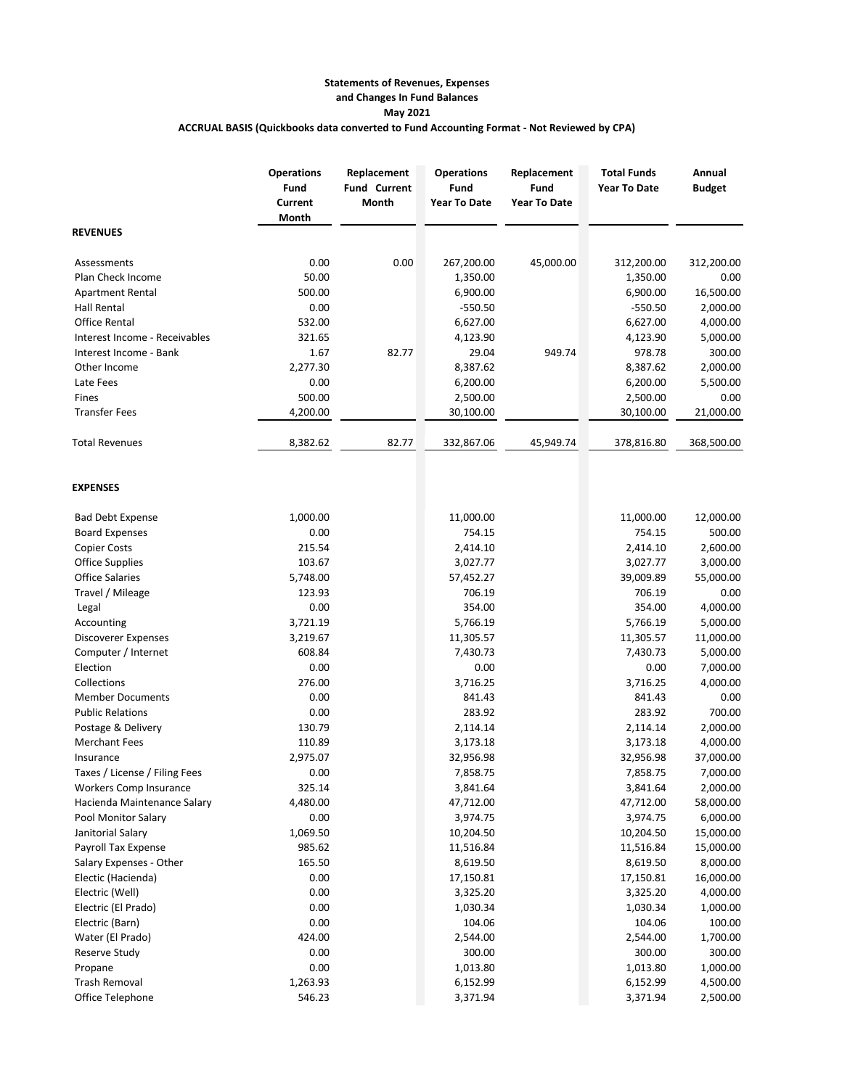## **Statements of Revenues, Expenses and Changes In Fund Balances May 2021 ACCRUAL BASIS (Quickbooks data converted to Fund Accounting Format - Not Reviewed by CPA)**

|                               | <b>Operations</b><br>Fund<br>Current<br>Month | Replacement<br><b>Fund Current</b><br>Month | <b>Operations</b><br>Fund<br><b>Year To Date</b> | Replacement<br>Fund<br><b>Year To Date</b> | <b>Total Funds</b><br><b>Year To Date</b> | Annual<br><b>Budget</b> |
|-------------------------------|-----------------------------------------------|---------------------------------------------|--------------------------------------------------|--------------------------------------------|-------------------------------------------|-------------------------|
| <b>REVENUES</b>               |                                               |                                             |                                                  |                                            |                                           |                         |
| Assessments                   | 0.00                                          | 0.00                                        | 267,200.00                                       | 45,000.00                                  | 312,200.00                                | 312,200.00              |
| Plan Check Income             | 50.00                                         |                                             | 1,350.00                                         |                                            | 1,350.00                                  | 0.00                    |
| <b>Apartment Rental</b>       | 500.00                                        |                                             | 6,900.00                                         |                                            | 6,900.00                                  | 16,500.00               |
| <b>Hall Rental</b>            | 0.00                                          |                                             | $-550.50$                                        |                                            | $-550.50$                                 | 2,000.00                |
| <b>Office Rental</b>          | 532.00                                        |                                             | 6,627.00                                         |                                            | 6,627.00                                  | 4,000.00                |
| Interest Income - Receivables | 321.65                                        |                                             | 4,123.90                                         |                                            | 4,123.90                                  | 5,000.00                |
| Interest Income - Bank        | 1.67                                          | 82.77                                       | 29.04                                            | 949.74                                     | 978.78                                    | 300.00                  |
| Other Income                  | 2,277.30                                      |                                             | 8,387.62                                         |                                            | 8,387.62                                  | 2,000.00                |
| Late Fees                     | 0.00                                          |                                             | 6,200.00                                         |                                            | 6,200.00                                  | 5,500.00                |
| Fines                         | 500.00                                        |                                             | 2,500.00                                         |                                            | 2,500.00                                  | 0.00                    |
| <b>Transfer Fees</b>          | 4,200.00                                      |                                             | 30,100.00                                        |                                            | 30,100.00                                 | 21,000.00               |
| <b>Total Revenues</b>         | 8,382.62                                      | 82.77                                       | 332,867.06                                       | 45,949.74                                  | 378,816.80                                | 368,500.00              |
| <b>EXPENSES</b>               |                                               |                                             |                                                  |                                            |                                           |                         |
| <b>Bad Debt Expense</b>       | 1,000.00                                      |                                             | 11,000.00                                        |                                            | 11,000.00                                 | 12,000.00               |
| <b>Board Expenses</b>         | 0.00                                          |                                             | 754.15                                           |                                            | 754.15                                    | 500.00                  |
| <b>Copier Costs</b>           | 215.54                                        |                                             | 2,414.10                                         |                                            | 2,414.10                                  | 2,600.00                |
| <b>Office Supplies</b>        | 103.67                                        |                                             | 3,027.77                                         |                                            | 3,027.77                                  | 3,000.00                |
| <b>Office Salaries</b>        | 5,748.00                                      |                                             | 57,452.27                                        |                                            | 39,009.89                                 | 55,000.00               |
| Travel / Mileage              | 123.93                                        |                                             | 706.19                                           |                                            | 706.19                                    | 0.00                    |
| Legal                         | 0.00                                          |                                             | 354.00                                           |                                            | 354.00                                    | 4,000.00                |
| Accounting                    | 3,721.19                                      |                                             | 5,766.19                                         |                                            | 5,766.19                                  | 5,000.00                |
| Discoverer Expenses           | 3,219.67                                      |                                             | 11,305.57                                        |                                            | 11,305.57                                 | 11,000.00               |
| Computer / Internet           | 608.84                                        |                                             | 7,430.73                                         |                                            | 7,430.73                                  | 5,000.00                |
| Election                      | 0.00                                          |                                             | 0.00                                             |                                            | 0.00                                      | 7,000.00                |
| Collections                   | 276.00                                        |                                             | 3,716.25                                         |                                            | 3,716.25                                  | 4,000.00                |
| <b>Member Documents</b>       | 0.00                                          |                                             | 841.43                                           |                                            | 841.43                                    | 0.00                    |
| <b>Public Relations</b>       | 0.00                                          |                                             | 283.92                                           |                                            | 283.92                                    | 700.00                  |
| Postage & Delivery            | 130.79                                        |                                             | 2,114.14                                         |                                            | 2,114.14                                  | 2,000.00                |
| <b>Merchant Fees</b>          | 110.89                                        |                                             | 3,173.18                                         |                                            | 3,173.18                                  | 4,000.00                |
| Insurance                     | 2,975.07                                      |                                             | 32,956.98                                        |                                            | 32,956.98                                 | 37,000.00               |
| Taxes / License / Filing Fees | 0.00                                          |                                             | 7,858.75                                         |                                            | 7,858.75                                  | 7,000.00                |
| Workers Comp Insurance        | 325.14                                        |                                             | 3,841.64                                         |                                            | 3,841.64                                  | 2,000.00                |
| Hacienda Maintenance Salary   | 4,480.00                                      |                                             | 47,712.00                                        |                                            | 47,712.00                                 | 58,000.00               |
| Pool Monitor Salary           | 0.00                                          |                                             | 3,974.75                                         |                                            | 3,974.75                                  | 6,000.00                |
| Janitorial Salary             | 1,069.50                                      |                                             | 10,204.50                                        |                                            | 10,204.50                                 | 15,000.00               |
| Payroll Tax Expense           | 985.62                                        |                                             | 11,516.84                                        |                                            | 11,516.84                                 | 15,000.00               |
| Salary Expenses - Other       | 165.50                                        |                                             | 8,619.50                                         |                                            | 8,619.50                                  | 8,000.00                |
| Electic (Hacienda)            | 0.00                                          |                                             | 17,150.81                                        |                                            | 17,150.81                                 | 16,000.00               |
| Electric (Well)               | 0.00                                          |                                             | 3,325.20                                         |                                            | 3,325.20                                  | 4,000.00                |
| Electric (El Prado)           | 0.00                                          |                                             | 1,030.34                                         |                                            | 1,030.34                                  | 1,000.00                |
| Electric (Barn)               | 0.00                                          |                                             | 104.06                                           |                                            | 104.06                                    | 100.00                  |
| Water (El Prado)              | 424.00                                        |                                             | 2,544.00                                         |                                            | 2,544.00                                  | 1,700.00                |
| Reserve Study                 | 0.00                                          |                                             | 300.00                                           |                                            | 300.00                                    | 300.00                  |
| Propane                       | 0.00                                          |                                             | 1,013.80                                         |                                            | 1,013.80                                  | 1,000.00                |
| <b>Trash Removal</b>          | 1,263.93                                      |                                             | 6,152.99                                         |                                            | 6,152.99                                  | 4,500.00                |
| Office Telephone              | 546.23                                        |                                             | 3,371.94                                         |                                            | 3,371.94                                  | 2,500.00                |